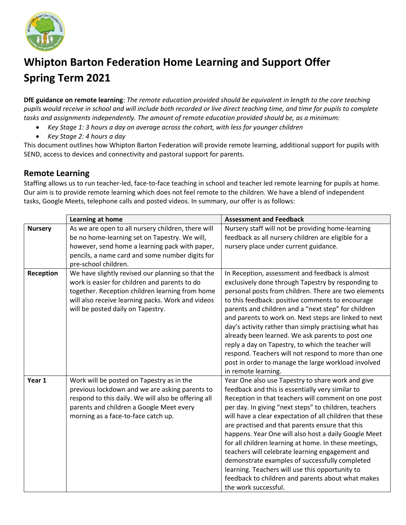

# **Whipton Barton Federation Home Learning and Support Offer Spring Term 2021**

**DfE guidance on remote learning**: *The remote education provided should be equivalent in length to the core teaching pupils would receive in school and will include both recorded or live direct teaching time, and time for pupils to complete tasks and assignments independently. The amount of remote education provided should be, as a minimum:*

- *Key Stage 1: 3 hours a day on average across the cohort, with less for younger children*
- *Key Stage 2: 4 hours a day*

This document outlines how Whipton Barton Federation will provide remote learning, additional support for pupils with SEND, access to devices and connectivity and pastoral support for parents.

### **Remote Learning**

Staffing allows us to run teacher-led, face-to-face teaching in school and teacher led remote learning for pupils at home. Our aim is to provide remote learning which does not feel remote to the children. We have a blend of independent tasks, Google Meets, telephone calls and posted videos. In summary, our offer is as follows:

|                | Learning at home                                                                                                                                                                                                                                | <b>Assessment and Feedback</b>                                                                                                                                                                                                                                                                                                                                                                                                                                                                                                                                                                                                                                                             |
|----------------|-------------------------------------------------------------------------------------------------------------------------------------------------------------------------------------------------------------------------------------------------|--------------------------------------------------------------------------------------------------------------------------------------------------------------------------------------------------------------------------------------------------------------------------------------------------------------------------------------------------------------------------------------------------------------------------------------------------------------------------------------------------------------------------------------------------------------------------------------------------------------------------------------------------------------------------------------------|
| <b>Nursery</b> | As we are open to all nursery children, there will<br>be no home-learning set on Tapestry. We will,<br>however, send home a learning pack with paper,<br>pencils, a name card and some number digits for<br>pre-school children.                | Nursery staff will not be providing home-learning<br>feedback as all nursery children are eligible for a<br>nursery place under current guidance.                                                                                                                                                                                                                                                                                                                                                                                                                                                                                                                                          |
| Reception      | We have slightly revised our planning so that the<br>work is easier for children and parents to do<br>together. Reception children learning from home<br>will also receive learning packs. Work and videos<br>will be posted daily on Tapestry. | In Reception, assessment and feedback is almost<br>exclusively done through Tapestry by responding to<br>personal posts from children. There are two elements<br>to this feedback: positive comments to encourage<br>parents and children and a "next step" for children<br>and parents to work on. Next steps are linked to next<br>day's activity rather than simply practising what has<br>already been learned. We ask parents to post one<br>reply a day on Tapestry, to which the teacher will<br>respond. Teachers will not respond to more than one<br>post in order to manage the large workload involved<br>in remote learning.                                                  |
| Year 1         | Work will be posted on Tapestry as in the<br>previous lockdown and we are asking parents to<br>respond to this daily. We will also be offering all<br>parents and children a Google Meet every<br>morning as a face-to-face catch up.           | Year One also use Tapestry to share work and give<br>feedback and this is essentially very similar to<br>Reception in that teachers will comment on one post<br>per day. In giving "next steps" to children, teachers<br>will have a clear expectation of all children that these<br>are practised and that parents ensure that this<br>happens. Year One will also host a daily Google Meet<br>for all children learning at home. In these meetings,<br>teachers will celebrate learning engagement and<br>demonstrate examples of successfully completed<br>learning. Teachers will use this opportunity to<br>feedback to children and parents about what makes<br>the work successful. |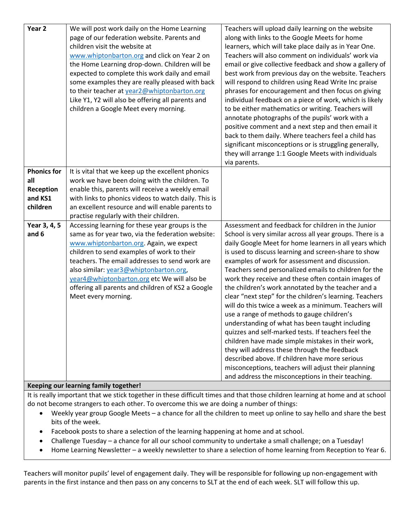| Year <sub>2</sub>  | We will post work daily on the Home Learning                                          | Teachers will upload daily learning on the website                                                             |
|--------------------|---------------------------------------------------------------------------------------|----------------------------------------------------------------------------------------------------------------|
|                    | page of our federation website. Parents and                                           | along with links to the Google Meets for home                                                                  |
|                    | children visit the website at                                                         | learners, which will take place daily as in Year One.                                                          |
|                    | www.whiptonbarton.org and click on Year 2 on                                          | Teachers will also comment on individuals' work via                                                            |
|                    | the Home Learning drop-down. Children will be                                         | email or give collective feedback and show a gallery of                                                        |
|                    | expected to complete this work daily and email                                        | best work from previous day on the website. Teachers                                                           |
|                    | some examples they are really pleased with back                                       | will respond to children using Read Write Inc praise                                                           |
|                    | to their teacher at year2@whiptonbarton.org                                           | phrases for encouragement and then focus on giving                                                             |
|                    | Like Y1, Y2 will also be offering all parents and                                     | individual feedback on a piece of work, which is likely                                                        |
|                    | children a Google Meet every morning.                                                 | to be either mathematics or writing. Teachers will                                                             |
|                    |                                                                                       | annotate photographs of the pupils' work with a                                                                |
|                    |                                                                                       | positive comment and a next step and then email it                                                             |
|                    |                                                                                       | back to them daily. Where teachers feel a child has                                                            |
|                    |                                                                                       | significant misconceptions or is struggling generally,                                                         |
|                    |                                                                                       | they will arrange 1:1 Google Meets with individuals                                                            |
|                    |                                                                                       | via parents.                                                                                                   |
| <b>Phonics for</b> | It is vital that we keep up the excellent phonics                                     |                                                                                                                |
| all                | work we have been doing with the children. To                                         |                                                                                                                |
| Reception          | enable this, parents will receive a weekly email                                      |                                                                                                                |
| and KS1            | with links to phonics videos to watch daily. This is                                  |                                                                                                                |
| children           | an excellent resource and will enable parents to                                      |                                                                                                                |
|                    | practise regularly with their children.                                               |                                                                                                                |
| Year 3, 4, 5       | Accessing learning for these year groups is the                                       | Assessment and feedback for children in the Junior                                                             |
| and 6              | same as for year two, via the federation website:                                     | School is very similar across all year groups. There is a                                                      |
|                    | www.whiptonbarton.org. Again, we expect<br>children to send examples of work to their | daily Google Meet for home learners in all years which<br>is used to discuss learning and screen-share to show |
|                    | teachers. The email addresses to send work are                                        | examples of work for assessment and discussion.                                                                |
|                    | also similar: year3@whiptonbarton.org,                                                | Teachers send personalized emails to children for the                                                          |
|                    | year4@whiptonbarton.org etc We will also be                                           | work they receive and these often contain images of                                                            |
|                    | offering all parents and children of KS2 a Google                                     | the children's work annotated by the teacher and a                                                             |
|                    | Meet every morning.                                                                   | clear "next step" for the children's learning. Teachers                                                        |
|                    |                                                                                       | will do this twice a week as a minimum. Teachers will                                                          |
|                    |                                                                                       | use a range of methods to gauge children's                                                                     |
|                    |                                                                                       | understanding of what has been taught including                                                                |
|                    |                                                                                       | quizzes and self-marked tests. If teachers feel the                                                            |
|                    |                                                                                       | children have made simple mistakes in their work,                                                              |
|                    |                                                                                       | they will address these through the feedback                                                                   |
|                    |                                                                                       | described above. If children have more serious                                                                 |
|                    |                                                                                       | misconceptions, teachers will adjust their planning                                                            |
|                    |                                                                                       | and address the misconceptions in their teaching.                                                              |
|                    | Keeping our learning family together!                                                 |                                                                                                                |

#### It is really important that we stick together in these difficult times and that those children learning at home and at school do not become strangers to each other. To overcome this we are doing a number of things:

- Weekly year group Google Meets a chance for all the children to meet up online to say hello and share the best bits of the week.
- Facebook posts to share a selection of the learning happening at home and at school.
- Challenge Tuesday a chance for all our school community to undertake a small challenge; on a Tuesday!
- Home Learning Newsletter a weekly newsletter to share a selection of home learning from Reception to Year 6.

Teachers will monitor pupils' level of engagement daily. They will be responsible for following up non-engagement with parents in the first instance and then pass on any concerns to SLT at the end of each week. SLT will follow this up.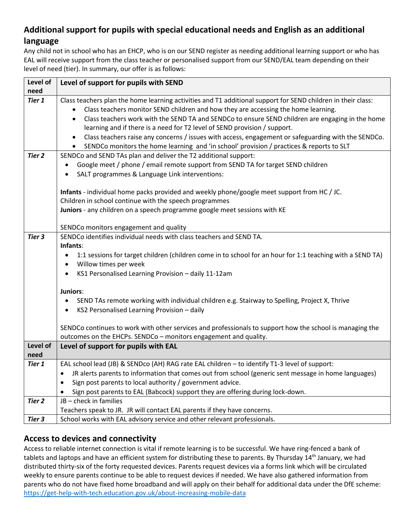# **Additional support for pupils with special educational needs and English as an additional language**

Any child not in school who has an EHCP, who is on our SEND register as needing additional learning support or who has EAL will receive support from the class teacher or personalised support from our SEND/EAL team depending on their level of need (tier). In summary, our offer is as follows:

| Level of          | Level of support for pupils with SEND                                                                                                                                                                        |  |
|-------------------|--------------------------------------------------------------------------------------------------------------------------------------------------------------------------------------------------------------|--|
| need<br>Tier 1    | Class teachers plan the home learning activities and T1 additional support for SEND children in their class:                                                                                                 |  |
|                   | Class teachers monitor SEND children and how they are accessing the home learning.                                                                                                                           |  |
|                   | $\bullet$<br>Class teachers work with the SEND TA and SENDCo to ensure SEND children are engaging in the home                                                                                                |  |
|                   | learning and if there is a need for T2 level of SEND provision / support.                                                                                                                                    |  |
|                   |                                                                                                                                                                                                              |  |
|                   | Class teachers raise any concerns / issues with access, engagement or safeguarding with the SENDCo.<br>$\bullet$<br>SENDCo monitors the home learning and 'in school' provision / practices & reports to SLT |  |
| Tier 2            | SENDCo and SEND TAs plan and deliver the T2 additional support:                                                                                                                                              |  |
|                   | Google meet / phone / email remote support from SEND TA for target SEND children                                                                                                                             |  |
|                   |                                                                                                                                                                                                              |  |
|                   | SALT programmes & Language Link interventions:                                                                                                                                                               |  |
|                   | Infants - individual home packs provided and weekly phone/google meet support from HC / JC.                                                                                                                  |  |
|                   | Children in school continue with the speech programmes                                                                                                                                                       |  |
|                   | Juniors - any children on a speech programme google meet sessions with KE                                                                                                                                    |  |
|                   |                                                                                                                                                                                                              |  |
|                   | SENDCo monitors engagement and quality                                                                                                                                                                       |  |
| Tier 3            | SENDCo identifies individual needs with class teachers and SEND TA.                                                                                                                                          |  |
|                   | Infants:                                                                                                                                                                                                     |  |
|                   | 1:1 sessions for target children (children come in to school for an hour for 1:1 teaching with a SEND TA)                                                                                                    |  |
|                   | Willow times per week                                                                                                                                                                                        |  |
|                   | KS1 Personalised Learning Provision - daily 11-12am<br>$\bullet$                                                                                                                                             |  |
|                   | Juniors:                                                                                                                                                                                                     |  |
|                   | SEND TAs remote working with individual children e.g. Stairway to Spelling, Project X, Thrive                                                                                                                |  |
|                   | KS2 Personalised Learning Provision - daily                                                                                                                                                                  |  |
|                   | SENDCo continues to work with other services and professionals to support how the school is managing the                                                                                                     |  |
|                   | outcomes on the EHCPs. SENDCo - monitors engagement and quality.                                                                                                                                             |  |
| Level of          | Level of support for pupils with EAL                                                                                                                                                                         |  |
| need              |                                                                                                                                                                                                              |  |
| Tier 1            | EAL school lead (JB) & SENDco (AH) RAG rate EAL children - to identify T1-3 level of support:                                                                                                                |  |
|                   | JR alerts parents to information that comes out from school (generic sent message in home languages)                                                                                                         |  |
|                   | Sign post parents to local authority / government advice.                                                                                                                                                    |  |
|                   | Sign post parents to EAL (Babcock) support they are offering during lock-down.                                                                                                                               |  |
| Tier <sub>2</sub> | JB - check in families                                                                                                                                                                                       |  |
|                   | Teachers speak to JR. JR will contact EAL parents if they have concerns.                                                                                                                                     |  |
| Tier 3            | School works with EAL advisory service and other relevant professionals.                                                                                                                                     |  |

# **Access to devices and connectivity**

Access to reliable internet connection is vital if remote learning is to be successful. We have ring-fenced a bank of tablets and laptops and have an efficient system for distributing these to parents. By Thursday 14<sup>th</sup> January, we had distributed thirty-six of the forty requested devices. Parents request devices via a forms link which will be circulated weekly to ensure parents continue to be able to request devices if needed. We have also gathered information from parents who do not have fixed home broadband and will apply on their behalf for additional data under the DfE scheme: <https://get-help-with-tech.education.gov.uk/about-increasing-mobile-data>